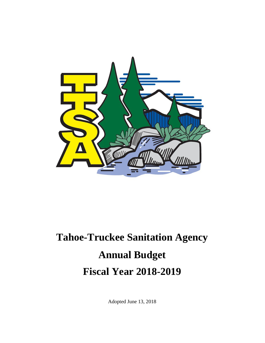

# **Tahoe-Truckee Sanitation Agency Annual Budget Fiscal Year 2018-2019**

Adopted June 13, 2018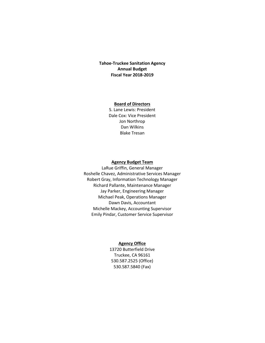#### **Tahoe-Truckee Sanitation Agency Annual Budget Fiscal Year 2018-2019**

#### **Board of Directors**

S. Lane Lewis: President Dale Cox: Vice President Jon Northrop Dan Wilkins Blake Tresan

#### **Agency Budget Team**

LaRue Griffin, General Manager Roshelle Chavez, Administrative Services Manager Robert Gray, Information Technology Manager Richard Pallante, Maintenance Manager Jay Parker, Engineering Manager Michael Peak, Operations Manager Dawn Davis, Accountant Michelle Mackey, Accounting Supervisor Emily Pindar, Customer Service Supervisor

#### **Agency Office**

13720 Butterfield Drive Truckee, CA 96161 530.587.2525 (Office) 530.587.5840 (Fax)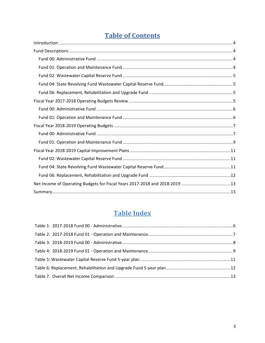# **Table of Contents**

# **Table Index**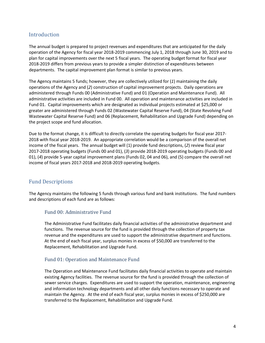# <span id="page-3-0"></span>**Introduction**

The annual budget is prepared to project revenues and expenditures that are anticipated for the daily operation of the Agency for fiscal year 2018-2019 commencing July 1, 2018 through June 30, 2019 and to plan for capital improvements over the next 5 fiscal years. The operating budget format for fiscal year 2018-2019 differs from previous years to provide a simpler distinction of expenditures between departments. The capital improvement plan format is similar to previous years.

The Agency maintains 5 funds; however, they are collectively utilized for (*1*) maintaining the daily operations of the Agency and (*2*) construction of capital improvement projects. Daily operations are administered through Funds 00 (Administrative Fund) and 01 (Operation and Maintenance Fund). All administrative activities are included in Fund 00. All operation and maintenance activities are included in Fund 01. Capital improvements which are designated as individual projects estimated at \$25,000 or greater are administered through Funds 02 (Wastewater Capital Reserve Fund), 04 (State Revolving Fund Wastewater Capital Reserve Fund) and 06 (Replacement, Rehabilitation and Upgrade Fund) depending on the project scope and fund allocation.

Due to the format change, it is difficult to directly correlate the operating budgets for fiscal year 2017- 2018 with fiscal year 2018-2019. An appropriate correlation would be a comparison of the overall net income of the fiscal years. The annual budget will (1) provide fund descriptions, (*2*) review fiscal year 2017-2018 operating budgets (Funds 00 and 01), (*3*) provide 2018-2019 operating budgets (Funds 00 and 01), (*4*) provide 5-year capital improvement plans (Funds 02, 04 and 06), and (5) compare the overall net income of fiscal years 2017-2018 and 2018-2019 operating budgets.

# <span id="page-3-1"></span>Fund Descriptions

The Agency maintains the following 5 funds through various fund and bank institutions. The fund numbers and descriptions of each fund are as follows:

# <span id="page-3-2"></span>Fund 00: Administrative Fund

The Administrative Fund facilitates daily financial activities of the administrative department and functions. The revenue source for the fund is provided through the collection of property tax revenue and the expenditures are used to support the administrative department and functions. At the end of each fiscal year, surplus monies in excess of \$50,000 are transferred to the Replacement, Rehabilitation and Upgrade Fund.

# <span id="page-3-3"></span>Fund 01: Operation and Maintenance Fund

The Operation and Maintenance Fund facilitates daily financial activities to operate and maintain existing Agency facilities. The revenue source for the fund is provided through the collection of sewer service charges. Expenditures are used to support the operation, maintenance, engineering and information technology departments and all other daily functions necessary to operate and maintain the Agency. At the end of each fiscal year, surplus monies in excess of \$250,000 are transferred to the Replacement, Rehabilitation and Upgrade Fund.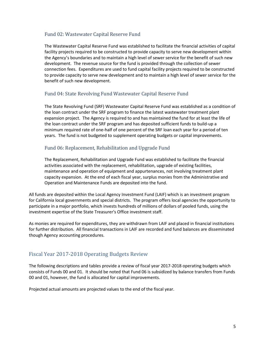# <span id="page-4-0"></span>Fund 02: Wastewater Capital Reserve Fund

The Wastewater Capital Reserve Fund was established to facilitate the financial activities of capital facility projects required to be constructed to provide capacity to serve new development within the Agency's boundaries and to maintain a high level of sewer service for the benefit of such new development. The revenue source for the fund is provided through the collection of sewer connection fees. Expenditures are used to fund capital facility projects required to be constructed to provide capacity to serve new development and to maintain a high level of sewer service for the benefit of such new development.

# <span id="page-4-1"></span>Fund 04: State Revolving Fund Wastewater Capital Reserve Fund

The State Revolving Fund (SRF) Wastewater Capital Reserve Fund was established as a condition of the loan contract under the SRF program to finance the latest wastewater treatment plant expansion project. The Agency is required to and has maintained the fund for at least the life of the loan contract under the SRF program and has deposited sufficient funds to build-up a minimum required rate of one-half of one percent of the SRF loan each year for a period of ten years. The fund is not budgeted to supplement operating budgets or capital improvements.

# <span id="page-4-2"></span>Fund 06: Replacement, Rehabilitation and Upgrade Fund

The Replacement, Rehabilitation and Upgrade Fund was established to facilitate the financial activities associated with the replacement, rehabilitation, upgrade of existing facilities, maintenance and operation of equipment and appurtenances, not involving treatment plant capacity expansion. At the end of each fiscal year, surplus monies from the Administrative and Operation and Maintenance Funds are deposited into the fund.

All funds are deposited within the Local Agency Investment Fund (LAIF) which is an investment program for California local governments and special districts. The program offers local agencies the opportunity to participate in a major portfolio, which invests hundreds of millions of dollars of pooled funds, using the investment expertise of the State Treasurer's Office investment staff.

As monies are required for expenditures, they are withdrawn from LAIF and placed in financial institutions for further distribution. All financial transactions in LAIF are recorded and fund balances are disseminated though Agency accounting procedures.

# <span id="page-4-3"></span>Fiscal Year 2017-2018 Operating Budgets Review

The following descriptions and tables provide a review of fiscal year 2017-2018 operating budgets which consists of Funds 00 and 01. It should be noted that Fund 06 is subsidized by balance transfers from Funds 00 and 01, however, the fund is allocated for capital improvements.

Projected actual amounts are projected values to the end of the fiscal year.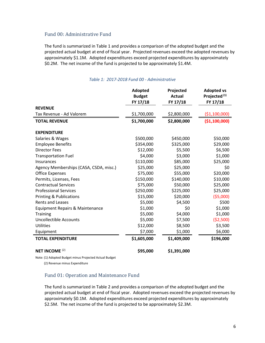#### <span id="page-5-0"></span>Fund 00: Administrative Fund

The fund is summarized in Table 1 and provides a comparison of the adopted budget and the projected actual budget at end of fiscal year. Projected revenues exceed the adopted revenues by approximately \$1.1M. Adopted expenditures exceed projected expenditures by approximately \$0.2M. The net income of the fund is projected to be approximately \$1.4M.

<span id="page-5-2"></span>

|                                        | <b>Adopted</b><br><b>Budget</b><br>FY 17/18 | Projected<br><b>Actual</b><br>FY 17/18 | <b>Adopted vs</b><br>Projected <sup>(1)</sup><br>FY 17/18 |
|----------------------------------------|---------------------------------------------|----------------------------------------|-----------------------------------------------------------|
| <b>REVENUE</b>                         |                                             |                                        |                                                           |
| Tax Revenue - Ad Valorem               | \$1,700,000                                 | \$2,800,000                            | ( \$1,100,000)                                            |
| <b>TOTAL REVENUE</b>                   | \$1,700,000                                 | \$2,800,000                            | ( \$1,100,000)                                            |
| <b>EXPENDITURE</b>                     |                                             |                                        |                                                           |
| Salaries & Wages                       | \$500,000                                   | \$450,000                              | \$50,000                                                  |
| <b>Employee Benefits</b>               | \$354,000                                   | \$325,000                              | \$29,000                                                  |
| <b>Director Fees</b>                   | \$12,000                                    | \$5,500                                | \$6,500                                                   |
| <b>Transportation Fuel</b>             | \$4,000                                     | \$3,000                                | \$1,000                                                   |
| Insurances                             | \$110,000                                   | \$85,000                               | \$25,000                                                  |
| Agency Memberships (CASA, CSDA, misc.) | \$25,000                                    | \$25,000                               | \$0                                                       |
| <b>Office Expenses</b>                 | \$75,000                                    | \$55,000                               | \$20,000                                                  |
| Permits, Licenses, Fees                | \$150,000                                   | \$140,000                              | \$10,000                                                  |
| <b>Contractual Services</b>            | \$75,000                                    | \$50,000                               | \$25,000                                                  |
| <b>Professional Services</b>           | \$250,000                                   | \$225,000                              | \$25,000                                                  |
| Printing & Publications                | \$15,000                                    | \$20,000                               | (55,000)                                                  |
| <b>Rents and Leases</b>                | \$5,000                                     | \$4,500                                | \$500                                                     |
| Equipment Repairs & Maintenance        | \$1,000                                     | \$0                                    | \$1,000                                                   |
| <b>Training</b>                        | \$5,000                                     | \$4,000                                | \$1,000                                                   |
| <b>Uncollectible Accounts</b>          | \$5,000                                     | \$7,500                                | ( \$2,500)                                                |
| <b>Utilities</b>                       | \$12,000                                    | \$8,500                                | \$3,500                                                   |
| Equipment                              | \$7,000                                     | \$1,000                                | \$6,000                                                   |
| <b>TOTAL EXPENDITURE</b>               | \$1,605,000                                 | \$1,409,000                            | \$196,000                                                 |
| <b>NET INCOME<sup>(2)</sup></b>        | \$95,000                                    | \$1,391,000                            |                                                           |

#### *Table 1: 2017-2018 Fund 00 - Administrative*

Note: (1) Adopted Budget minus Projected Actual Budget

(2) Revenue minus Expenditure

#### <span id="page-5-1"></span>Fund 01: Operation and Maintenance Fund

The fund is summarized in Table 2 and provides a comparison of the adopted budget and the projected actual budget at end of fiscal year. Adopted revenues exceed the projected revenues by approximately \$0.1M. Adopted expenditures exceed projected expenditures by approximately \$2.5M. The net income of the fund is projected to be approximately \$2.3M.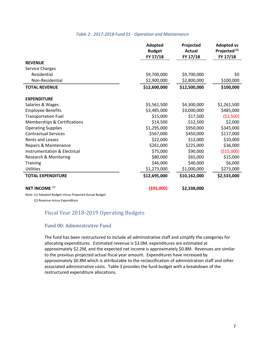#### *Table 2: 2017-2018 Fund 01 - Operation and Maintenance*

<span id="page-6-2"></span>

|                                         | <b>Adopted</b><br><b>Budget</b> | Projected<br><b>Actual</b> | <b>Adopted vs</b><br>Projected <sup>(1)</sup> |
|-----------------------------------------|---------------------------------|----------------------------|-----------------------------------------------|
|                                         | FY 17/18                        | FY 17/18                   | FY 17/18                                      |
| <b>REVENUE</b>                          |                                 |                            |                                               |
| Service Charges                         |                                 |                            |                                               |
| Residential                             | \$9,700,000                     | \$9,700,000                | \$0                                           |
| Non-Residential                         | \$2,900,000                     | \$2,800,000                | \$100,000                                     |
| <b>TOTAL REVENUE</b>                    | \$12,600,000                    | \$12,500,000               | \$100,000                                     |
| <b>EXPENDITURE</b>                      |                                 |                            |                                               |
| Salaries & Wages                        | \$5,561,500                     | \$4,300,000                | \$1,261,500                                   |
| <b>Employee Benefits</b>                | \$3,485,000                     | \$3,000,000                | \$485,000                                     |
| <b>Transportation Fuel</b>              | \$15,000                        | \$17,500                   | ( \$2,500)                                    |
| Memberships & Certifications            | \$14,500                        | \$12,500                   | \$2,000                                       |
| <b>Operating Supplies</b>               | \$1,295,000                     | \$950,000                  | \$345,000                                     |
| <b>Contractual Services</b>             | \$567,000                       | \$450,000                  | \$117,000                                     |
| <b>Rents and Leases</b>                 | \$22,000                        | \$12,000                   | \$10,000                                      |
| Repairs & Maintenance                   | \$261,000                       | \$225,000                  | \$36,000                                      |
| <b>Instrumentation &amp; Electrical</b> | \$75,000                        | \$90,000                   | (\$15,000)                                    |
| <b>Research &amp; Monitoring</b>        | \$80,000                        | \$65,000                   | \$15,000                                      |
| <b>Training</b>                         | \$46,000                        | \$40,000                   | \$6,000                                       |
| <b>Utilities</b>                        | \$1,273,000                     | \$1,000,000                | \$273,000                                     |
| <b>TOTAL EXPENDITURE</b>                | \$12,695,000                    | \$10,162,000               | \$2,533,000                                   |
| NET INCOME <sup>(2)</sup>               | ( \$95,000)                     | \$2,338,000                |                                               |

Note: (1) Adopted Budget minus Projected Actual Budget

<span id="page-6-0"></span>(2) Revenue minus Expenditure

#### Fiscal Year 2018-2019 Operating Budgets

#### <span id="page-6-1"></span>Fund 00: Administrative Fund

The fund has been restructured to include all administrative staff and simplify the categories for allocating expenditures. Estimated revenue is \$3.0M, expenditures are estimated at approximately \$2.2M, and the expected net income is approximately \$0.8M. Revenues are similar to the previous projected actual fiscal year amount. Expenditures have increased by approximately \$0.8M which is attributable to the reclassification of administration staff and other associated administrative costs. Table 3 provides the fund budget with a breakdown of the restructured expenditure allocations.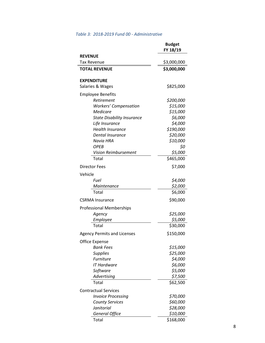### <span id="page-7-0"></span>*Table 3: 2018-2019 Fund 00 - Administrative*

|                                             | <b>Budget</b>          |
|---------------------------------------------|------------------------|
|                                             | FY 18/19               |
| <b>REVENUE</b>                              |                        |
| <b>Tax Revenue</b>                          | \$3,000,000            |
| <b>TOTAL REVENUE</b>                        | \$3,000,000            |
|                                             |                        |
| <b>EXPENDITURE</b>                          |                        |
| Salaries & Wages                            | \$825,000              |
| <b>Employee Benefits</b>                    |                        |
| Retirement                                  | \$200,000              |
| <b>Workers' Compensation</b>                | \$15,000               |
| Medicare                                    | \$15,000               |
| <b>State Disability Insurance</b>           | \$6,000                |
| Life Insurance                              | \$4,000                |
| <b>Health Insurance</b>                     | \$190,000              |
| <b>Dental Insurance</b>                     | \$20,000               |
| Navia HRA                                   | \$10,000               |
| <b>OPEB</b>                                 | \$0                    |
| <b>Vision Reimbursement</b>                 | \$5,000                |
| Total                                       | \$465,000              |
| <b>Director Fees</b>                        | \$7,000                |
| Vehicle                                     |                        |
| Fuel                                        | \$4,000                |
| Maintenance                                 | \$2,000                |
| Total                                       | \$6,000                |
| <b>CSRMA</b> Insurance                      | \$90,000               |
| <b>Professional Memberships</b>             |                        |
| Agency                                      | \$25,000               |
| <b>Employee</b>                             | \$5,000                |
| Total                                       | \$30,000               |
| <b>Agency Permits and Licenses</b>          | \$150,000              |
| <b>Office Expense</b>                       |                        |
| <b>Bank Fees</b>                            | \$15,000               |
| <b>Supplies</b>                             | \$25,000               |
| <b>Furniture</b>                            | \$4,000                |
| IT Hardware                                 | \$6,000                |
| Software                                    | \$5,000                |
| Advertising                                 | \$7,500                |
| Total                                       | \$62,500               |
| <b>Contractual Services</b>                 |                        |
| <b>Invoice Processing</b>                   | <i><b>\$70,000</b></i> |
|                                             | \$60,000               |
| <b>County Services</b><br><b>Janitorial</b> | \$28,000               |
| <b>General Office</b>                       | \$10,000               |
| Total                                       | \$168,000              |
|                                             |                        |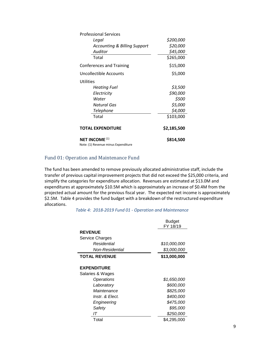| <b>Professional Services</b>                                                                                                                                                                                                                                                                            |             |
|---------------------------------------------------------------------------------------------------------------------------------------------------------------------------------------------------------------------------------------------------------------------------------------------------------|-------------|
| Legal                                                                                                                                                                                                                                                                                                   | \$200,000   |
| <b>Accounting &amp; Billing Support</b>                                                                                                                                                                                                                                                                 | \$20,000    |
| Auditor                                                                                                                                                                                                                                                                                                 | \$45,000    |
| Total                                                                                                                                                                                                                                                                                                   | \$265,000   |
| <b>Conferences and Training</b>                                                                                                                                                                                                                                                                         | \$15,000    |
| Uncollectible Accounts                                                                                                                                                                                                                                                                                  | \$5,000     |
| <b>Utilities</b>                                                                                                                                                                                                                                                                                        |             |
| <b>Heating Fuel</b>                                                                                                                                                                                                                                                                                     | \$3,500     |
| Electricity                                                                                                                                                                                                                                                                                             | \$90,000    |
| Water                                                                                                                                                                                                                                                                                                   | \$500       |
| Natural Gas                                                                                                                                                                                                                                                                                             | \$5,000     |
| Telephone                                                                                                                                                                                                                                                                                               | \$4,000     |
| Total                                                                                                                                                                                                                                                                                                   | \$103,000   |
| <b>TOTAL EXPENDITURE</b>                                                                                                                                                                                                                                                                                | \$2,185,500 |
| <b>NET INCOME (1)</b><br>$\mathbf{M}$ . $\mathbf{M}$ . $\mathbf{M}$ . $\mathbf{M}$ . The set of $\mathbf{M}$ is the set of $\mathbf{M}$ is the set of $\mathbf{M}$ is the set of $\mathbf{M}$ is the set of $\mathbf{M}$ is the set of $\mathbf{M}$ is the set of $\mathbf{M}$ is the set of $\mathbf{$ | \$814,500   |

Note: (1) Revenue minus Expenditure

#### <span id="page-8-0"></span>Fund 01: Operation and Maintenance Fund

<span id="page-8-1"></span>The fund has been amended to remove previously allocated administrative staff, include the transfer of previous capital improvement projects that did not exceed the \$25,000 criteria, and simplify the categories for expenditure allocation. Revenues are estimated at \$13.0M and expenditures at approximately \$10.5M which is approximately an increase of \$0.4M from the projected actual amount for the previous fiscal year. The expected net income is approximately \$2.5M. Table 4 provides the fund budget with a breakdown of the restructured expenditure allocations.

*Table 4: 2018-2019 Fund 01 - Operation and Maintenance*

|                      | Budget<br>FY 18/19 |
|----------------------|--------------------|
| <b>REVENUE</b>       |                    |
| Service Charges      |                    |
| Residential          | \$10,000,000       |
| Non-Residential      | \$3,000,000        |
| <b>TOTAL REVENUE</b> | \$13,000,000       |
| <b>EXPENDITURE</b>   |                    |
| Salaries & Wages     |                    |
| Operations           | \$1,650,000        |
| Laboratory           | \$600,000          |
| Maintenance          | \$825,000          |
| Instr. & Elect.      | \$400,000          |
| Engineering          | \$475,000          |
| Safety               | \$95,000           |
| IΤ                   | \$250,000          |
| Total                | \$4,295,000        |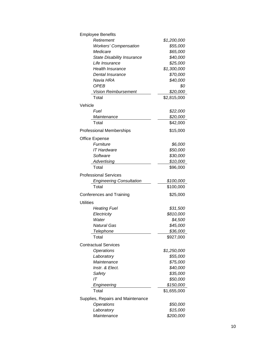| <b>Employee Benefits</b>          |             |
|-----------------------------------|-------------|
| Retirement                        | \$1,200,000 |
| <b>Workers' Compensation</b>      | \$55,000    |
| Medicare                          | \$65,000    |
| <b>State Disability Insurance</b> | \$40,000    |
| Life Insurance                    | \$25,000    |
| <b>Health Insurance</b>           | \$1,300,000 |
| Dental Insurance                  | \$70,000    |
| Navia HRA                         | \$40,000    |
| <b>OPEB</b>                       | \$0         |
| <b>Vision Reimbursement</b>       | \$20,000    |
| Total                             | \$2,815,000 |
| Vehicle                           |             |
| Fuel                              | \$22,000    |
| Maintenance                       | \$20,000    |
| Total                             | \$42,000    |
|                                   |             |
| <b>Professional Memberships</b>   | \$15,000    |
| <b>Office Expense</b>             |             |
| Furniture                         | \$6,000     |
| <b>IT Hardware</b>                | \$50,000    |
| Software                          | \$30,000    |
| Advertising                       | \$10,000    |
| Total                             | \$96,000    |
| <b>Professional Services</b>      |             |
| <b>Engineering Consultation</b>   | \$100,000   |
| Total                             | \$100,000   |
| <b>Conferences and Training</b>   | \$25,000    |
|                                   |             |
| Utilities                         |             |
| <b>Heating Fuel</b>               | \$31,500    |
| Electricity                       | \$810,000   |
| Water                             | \$4,500     |
| Natural Gas                       | \$45,000    |
| Telephone                         | \$36,000    |
| Total                             | \$927,000   |
| <b>Contractual Services</b>       |             |
| <b>Operations</b>                 | \$1,250,000 |
| Laboratory                        | \$55,000    |
| Maintenance                       | \$75,000    |
| Instr. & Elect.                   | \$40,000    |
| Safety                            | \$35,000    |
| IT                                | \$50,000    |
| Engineering                       | \$150,000   |
| Total                             | \$1,655,000 |
| Supplies, Repairs and Maintenance |             |
|                                   |             |
| Operations                        | \$50,000    |
| Laboratory                        | \$15,000    |
| Maintenance                       | \$200,000   |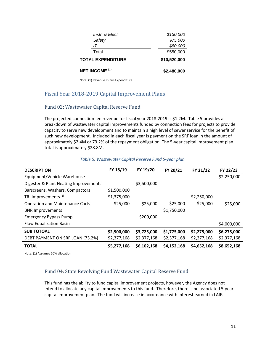| <b>NET INCOME (1)</b>    | \$2,480,000  |
|--------------------------|--------------|
| <b>TOTAL EXPENDITURE</b> | \$10,520,000 |
| Total                    | \$550,000    |
| IΤ                       | \$80,000     |
| Safety                   | \$75,000     |
| Instr. & Elect.          | \$130,000    |
|                          |              |

Note: (1) Revenue minus Expenditure

# <span id="page-10-0"></span>Fiscal Year 2018-2019 Capital Improvement Plans

## <span id="page-10-1"></span>Fund 02: Wastewater Capital Reserve Fund

The projected connection fee revenue for fiscal year 2018-2019 is \$1.2M. Table 5 provides a breakdown of wastewater capital improvements funded by connection fees for projects to provide capacity to serve new development and to maintain a high level of sewer service for the benefit of such new development. Included in each fiscal year is payment on the SRF loan in the amount of approximately \$2.4M or 73.2% of the repayment obligation. The 5-year capital improvement plan total is approximately \$28.8M.

<span id="page-10-3"></span>

| <b>DESCRIPTION</b>                     | FY 18/19    | FY 19/20    | FY 20/21    | FY 21/22    | FY 22/23    |
|----------------------------------------|-------------|-------------|-------------|-------------|-------------|
| Equipment/Vehicle Warehouse            |             |             |             |             | \$2,250,000 |
| Digester & Plant Heating Improvements  |             | \$3,500,000 |             |             |             |
| Barscreens, Washers, Compactors        | \$1,500,000 |             |             |             |             |
| TRI Improvements <sup>(1)</sup>        | \$1,375,000 |             |             | \$2,250,000 |             |
| <b>Operation and Maintenance Carts</b> | \$25,000    | \$25,000    | \$25,000    | \$25,000    | \$25,000    |
| <b>BNR Improvements</b>                |             |             | \$1,750,000 |             |             |
| <b>Emergency Bypass Pump</b>           |             | \$200,000   |             |             |             |
| <b>Flow Equalization Basin</b>         |             |             |             |             | \$4,000,000 |
| <b>SUB TOTOAL</b>                      | \$2,900,000 | \$3,725,000 | \$1,775,000 | \$2,275,000 | \$6,275,000 |
| DEBT PAYMENT ON SRF LOAN (73.2%)       | \$2,377,168 | \$2,377,168 | \$2,377,168 | \$2,377,168 | \$2,377,168 |
| <b>TOTAL</b>                           | \$5,277,168 | \$6,102,168 | \$4,152,168 | \$4,652,168 | \$8,652,168 |

#### *Table 5: Wastewater Capital Reserve Fund 5-year plan*

<span id="page-10-2"></span>Note: (1) Assumes 50% allocation

#### Fund 04: State Revolving Fund Wastewater Capital Reserve Fund

This fund has the ability to fund capital improvement projects, however, the Agency does not intend to allocate any capital improvements to this fund. Therefore, there is no associated 5-year capital improvement plan. The fund will increase in accordance with interest earned in LAIF.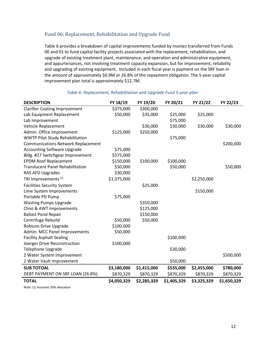## <span id="page-11-0"></span>Fund 06: Replacement, Rehabilitation and Upgrade Fund

Table 6 provides a breakdown of capital improvements funded by monies transferred from Funds 00 and 01 to fund capital facility projects associated with the replacement, rehabilitation, and upgrade of existing treatment plant, maintenance, and operation and administrative equipment, and appurtenances, not involving treatment capacity expansion, but for improvement, reliability and upgrading of existing equipment. Included in each fiscal year is payment on the SRF loan in the amount of approximately \$0.9M or 26.8% of the repayment obligation. The 5-year capital improvement plan total is approximately \$12.7M.

<span id="page-11-1"></span>

| <b>DESCRIPTION</b>                        | FY 18/19    | FY 19/20    | FY 20/21    | FY 21/22    | FY 22/23    |
|-------------------------------------------|-------------|-------------|-------------|-------------|-------------|
| <b>Clarifier Coating Improvement</b>      | \$375,000   | \$300,000   |             |             |             |
| Lab Equipment Replacement                 | \$50,000    | \$35,000    | \$25,000    | \$25,000    |             |
| Lab Improvement                           |             |             | \$75,000    |             |             |
| Vehicle Replacement                       |             | \$30,000    | \$30,000    | \$30,000    | \$30,000    |
| Admin. Office Improvement                 | \$125,000   | \$250,000   |             |             |             |
| <b>WWTP Pilot Study Rehabilitation</b>    |             |             | \$75,000    |             |             |
| <b>Communications Network Replacement</b> |             |             |             |             | \$200,000   |
| <b>Accounting Software Upgrade</b>        | \$75,000    |             |             |             |             |
| Bldg. #27 Switchgear Improvement          | \$575,000   |             |             |             |             |
| <b>EPDM Roof Replacement</b>              | \$150,000   | \$100,000   | \$100,000   |             |             |
| <b>Translucent Panel Rehabilitation</b>   | \$50,000    |             | \$50,000    |             | \$50,000    |
| RAS AFD Upgrades                          | \$30,000    |             |             |             |             |
| TRI Improvements <sup>(1)</sup>           | \$1,375,000 |             |             | \$2,250,000 |             |
| <b>Facilities Security System</b>         |             | \$25,000    |             |             |             |
| Lime System Improvements                  |             |             |             | \$150,000   |             |
| Portable PD Pump                          | \$75,000    |             |             |             |             |
| <b>Wasting Pumps Upgrade</b>              |             | \$350,000   |             |             |             |
| Clino & AWT Improvements                  |             | \$125,000   |             |             |             |
| <b>Ballast Pond Repair</b>                |             | \$150,000   |             |             |             |
| Centrifuge Rebuild                        | \$50,000    | \$50,000    |             |             |             |
| <b>Robicon Drive Upgrade</b>              | \$100,000   |             |             |             |             |
| Admin. MCC Panel Improvements             | \$50,000    |             |             |             |             |
| <b>Facility Asphalt Sealing</b>           |             |             | \$100,000   |             |             |
| Joerger Drive Reconstruction              | \$100,000   |             |             |             |             |
| Telephone Upgrade                         |             |             | \$30,000    |             |             |
| 2 Water System Improvement                |             |             |             |             | \$500,000   |
| 2 Water Vault Improvement                 |             |             | \$50,000    |             |             |
| <b>SUB TOTOAL</b>                         | \$3,180,000 | \$1,415,000 | \$535,000   | \$2,455,000 | \$780,000   |
| DEBT PAYMENT ON SRF LOAN (26.8%)          | \$870,329   | \$870,329   | \$870,329   | \$870,329   | \$870,329   |
| <b>TOTAL</b>                              | \$4,050,329 | \$2,285,329 | \$1,405,329 | \$3,325,329 | \$1,650,329 |

#### *Table 6: Replacement, Rehabilitation and Upgrade Fund 5-year plan*

Note: (1) Assumes 50% allocation